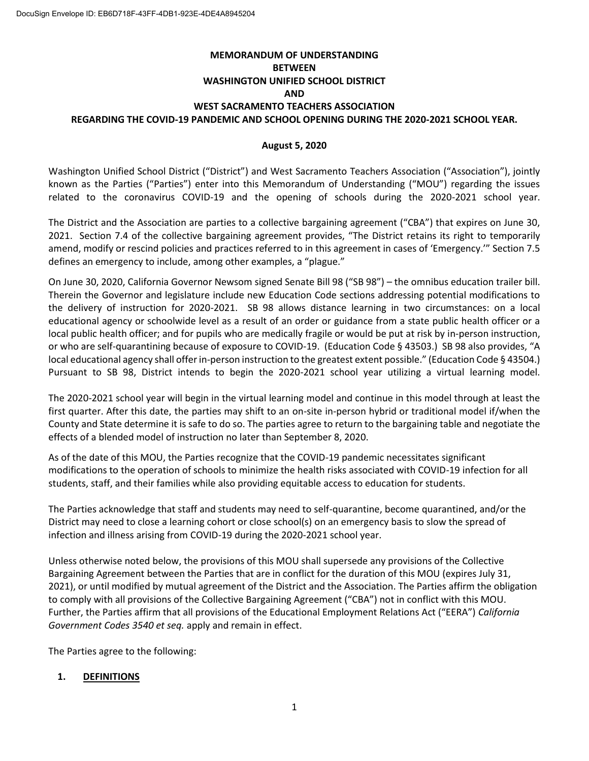# **MEMORANDUM OF UNDERSTANDING BETWEEN WASHINGTON UNIFIED SCHOOL DISTRICT AND WEST SACRAMENTO TEACHERS ASSOCIATION REGARDING THE COVID-19 PANDEMIC AND SCHOOL OPENING DURING THE 2020-2021 SCHOOL YEAR.**

### **August 5, 2020**

Washington Unified School District ("District") and West Sacramento Teachers Association ("Association"), jointly known as the Parties ("Parties") enter into this Memorandum of Understanding ("MOU") regarding the issues related to the coronavirus COVID-19 and the opening of schools during the 2020-2021 school year.

The District and the Association are parties to a collective bargaining agreement ("CBA") that expires on June 30, 2021. Section 7.4 of the collective bargaining agreement provides, "The District retains its right to temporarily amend, modify or rescind policies and practices referred to in this agreement in cases of 'Emergency.'" Section 7.5 defines an emergency to include, among other examples, a "plague."

On June 30, 2020, California Governor Newsom signed Senate Bill 98 ("SB 98") – the omnibus education trailer bill. Therein the Governor and legislature include new Education Code sections addressing potential modifications to the delivery of instruction for 2020-2021. SB 98 allows distance learning in two circumstances: on a local educational agency or schoolwide level as a result of an order or guidance from a state public health officer or a local public health officer; and for pupils who are medically fragile or would be put at risk by in-person instruction, or who are self-quarantining because of exposure to COVID-19. (Education Code § 43503.) SB 98 also provides, "A local educational agency shall offer in-person instruction to the greatest extent possible." (Education Code § 43504.) Pursuant to SB 98, District intends to begin the 2020-2021 school year utilizing a virtual learning model.

The 2020-2021 school year will begin in the virtual learning model and continue in this model through at least the first quarter. After this date, the parties may shift to an on-site in-person hybrid or traditional model if/when the County and State determine it is safe to do so. The parties agree to return to the bargaining table and negotiate the effects of a blended model of instruction no later than September 8, 2020.

As of the date of this MOU, the Parties recognize that the COVID-19 pandemic necessitates significant modifications to the operation of schools to minimize the health risks associated with COVID-19 infection for all students, staff, and their families while also providing equitable access to education for students.

The Parties acknowledge that staff and students may need to self-quarantine, become quarantined, and/or the District may need to close a learning cohort or close school(s) on an emergency basis to slow the spread of infection and illness arising from COVID-19 during the 2020-2021 school year.

Unless otherwise noted below, the provisions of this MOU shall supersede any provisions of the Collective Bargaining Agreement between the Parties that are in conflict for the duration of this MOU (expires July 31, 2021), or until modified by mutual agreement of the District and the Association. The Parties affirm the obligation to comply with all provisions of the Collective Bargaining Agreement ("CBA") not in conflict with this MOU. Further, the Parties affirm that all provisions of the Educational Employment Relations Act ("EERA") *California Government Codes 3540 et seq.* apply and remain in effect.

The Parties agree to the following:

### **1. DEFINITIONS**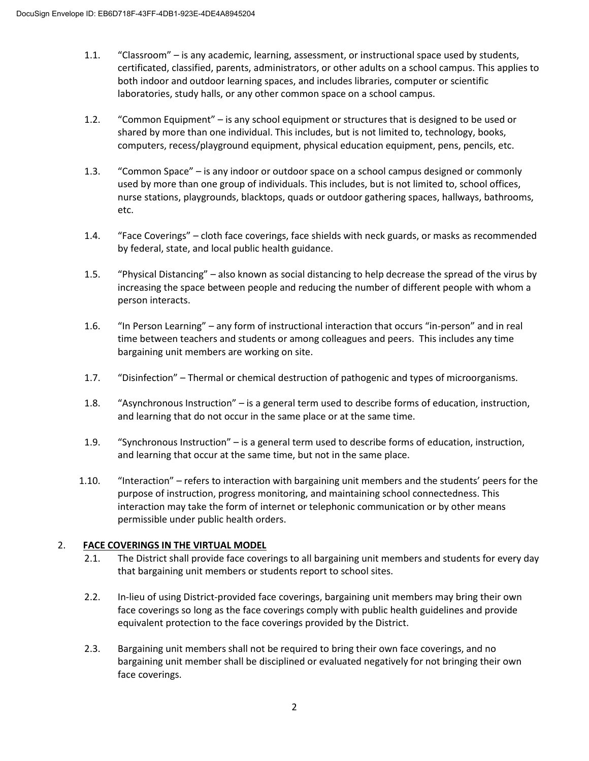- 1.1. "Classroom" is any academic, learning, assessment, or instructional space used by students, certificated, classified, parents, administrators, or other adults on a school campus. This applies to both indoor and outdoor learning spaces, and includes libraries, computer or scientific laboratories, study halls, or any other common space on a school campus.
- 1.2. "Common Equipment" is any school equipment or structures that is designed to be used or shared by more than one individual. This includes, but is not limited to, technology, books, computers, recess/playground equipment, physical education equipment, pens, pencils, etc.
- 1.3. "Common Space" is any indoor or outdoor space on a school campus designed or commonly used by more than one group of individuals. This includes, but is not limited to, school offices, nurse stations, playgrounds, blacktops, quads or outdoor gathering spaces, hallways, bathrooms, etc.
- 1.4. "Face Coverings" cloth face coverings, face shields with neck guards, or masks as recommended by federal, state, and local public health guidance.
- 1.5. "Physical Distancing" also known as social distancing to help decrease the spread of the virus by increasing the space between people and reducing the number of different people with whom a person interacts.
- 1.6. "In Person Learning" any form of instructional interaction that occurs "in-person" and in real time between teachers and students or among colleagues and peers. This includes any time bargaining unit members are working on site.
- 1.7. "Disinfection" Thermal or chemical destruction of pathogenic and types of microorganisms.
- 1.8. "Asynchronous Instruction" is a general term used to describe forms of education, instruction, and learning that do not occur in the same place or at the same time.
- 1.9. "Synchronous Instruction" is a general term used to describe forms of education, instruction, and learning that occur at the same time, but not in the same place.
- 1.10. "Interaction" refers to interaction with bargaining unit members and the students' peers for the purpose of instruction, progress monitoring, and maintaining school connectedness. This interaction may take the form of internet or telephonic communication or by other means permissible under public health orders.

## 2. **FACE COVERINGS IN THE VIRTUAL MODEL**

- 2.1. The District shall provide face coverings to all bargaining unit members and students for every day that bargaining unit members or students report to school sites.
- 2.2. In-lieu of using District-provided face coverings, bargaining unit members may bring their own face coverings so long as the face coverings comply with public health guidelines and provide equivalent protection to the face coverings provided by the District.
- 2.3. Bargaining unit members shall not be required to bring their own face coverings, and no bargaining unit member shall be disciplined or evaluated negatively for not bringing their own face coverings.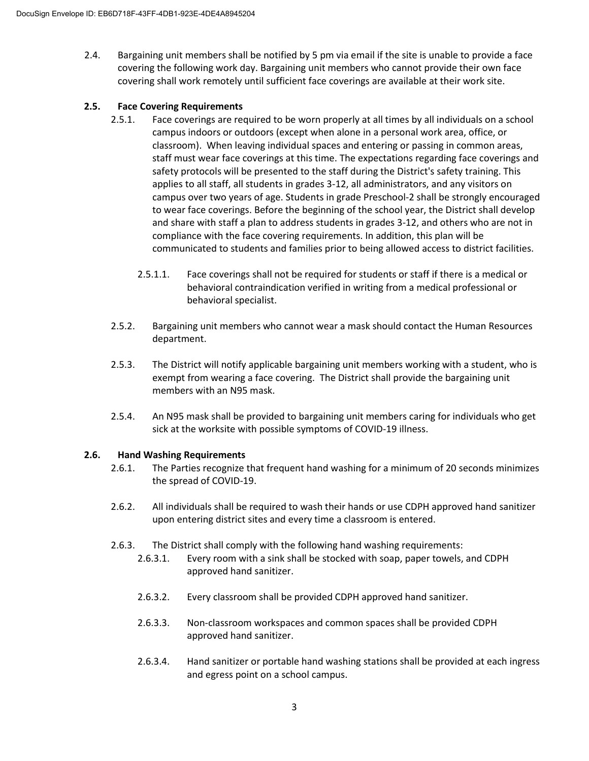2.4. Bargaining unit members shall be notified by 5 pm via email if the site is unable to provide a face covering the following work day. Bargaining unit members who cannot provide their own face covering shall work remotely until sufficient face coverings are available at their work site.

## **2.5. Face Covering Requirements**

- 2.5.1. Face coverings are required to be worn properly at all times by all individuals on a school campus indoors or outdoors (except when alone in a personal work area, office, or classroom). When leaving individual spaces and entering or passing in common areas, staff must wear face coverings at this time. The expectations regarding face coverings and safety protocols will be presented to the staff during the District's safety training. This applies to all staff, all students in grades 3-12, all administrators, and any visitors on campus over two years of age. Students in grade Preschool-2 shall be strongly encouraged to wear face coverings. Before the beginning of the school year, the District shall develop and share with staff a plan to address students in grades 3-12, and others who are not in compliance with the face covering requirements. In addition, this plan will be communicated to students and families prior to being allowed access to district facilities.
	- 2.5.1.1. Face coverings shall not be required for students or staff if there is a medical or behavioral contraindication verified in writing from a medical professional or behavioral specialist.
- 2.5.2. Bargaining unit members who cannot wear a mask should contact the Human Resources department.
- 2.5.3. The District will notify applicable bargaining unit members working with a student, who is exempt from wearing a face covering. The District shall provide the bargaining unit members with an N95 mask.
- 2.5.4. An N95 mask shall be provided to bargaining unit members caring for individuals who get sick at the worksite with possible symptoms of COVID-19 illness.

## **2.6. Hand Washing Requirements**

- 2.6.1. The Parties recognize that frequent hand washing for a minimum of 20 seconds minimizes the spread of COVID-19.
- 2.6.2. All individuals shall be required to wash their hands or use CDPH approved hand sanitizer upon entering district sites and every time a classroom is entered.
- 2.6.3. The District shall comply with the following hand washing requirements:
	- 2.6.3.1. Every room with a sink shall be stocked with soap, paper towels, and CDPH approved hand sanitizer.
	- 2.6.3.2. Every classroom shall be provided CDPH approved hand sanitizer.
	- 2.6.3.3. Non-classroom workspaces and common spaces shall be provided CDPH approved hand sanitizer.
	- 2.6.3.4. Hand sanitizer or portable hand washing stations shall be provided at each ingress and egress point on a school campus.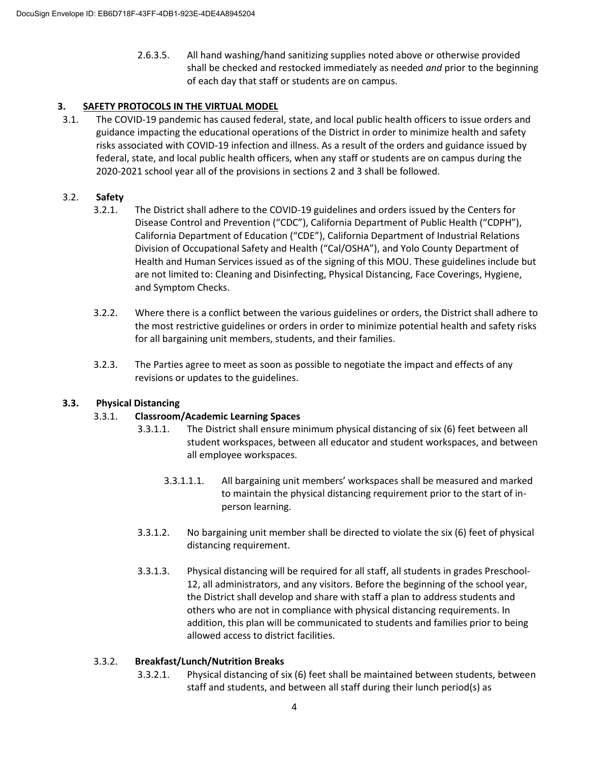2.6.3.5. All hand washing/hand sanitizing supplies noted above or otherwise provided shall be checked and restocked immediately as needed *and* prior to the beginning of each day that staff or students are on campus.

## **3. SAFETY PROTOCOLS IN THE VIRTUAL MODEL**

3.1. The COVID-19 pandemic has caused federal, state, and local public health officers to issue orders and guidance impacting the educational operations of the District in order to minimize health and safety risks associated with COVID-19 infection and illness. As a result of the orders and guidance issued by federal, state, and local public health officers, when any staff or students are on campus during the 2020-2021 school year all of the provisions in sections 2 and 3 shall be followed.

### 3.2. **Safety**

- 3.2.1. The District shall adhere to the COVID-19 guidelines and orders issued by the Centers for Disease Control and Prevention ("CDC"), California Department of Public Health ("CDPH"), California Department of Education ("CDE"), California Department of Industrial Relations Division of Occupational Safety and Health ("Cal/OSHA"), and Yolo County Department of Health and Human Services issued as of the signing of this MOU. These guidelines include but are not limited to: Cleaning and Disinfecting, Physical Distancing, Face Coverings, Hygiene, and Symptom Checks.
- 3.2.2. Where there is a conflict between the various guidelines or orders, the District shall adhere to the most restrictive guidelines or orders in order to minimize potential health and safety risks for all bargaining unit members, students, and their families.
- 3.2.3. The Parties agree to meet as soon as possible to negotiate the impact and effects of any revisions or updates to the guidelines.

### **3.3. Physical Distancing**

### 3.3.1. **Classroom/Academic Learning Spaces**

- 3.3.1.1. The District shall ensure minimum physical distancing of six (6) feet between all student workspaces, between all educator and student workspaces, and between all employee workspaces.
	- 3.3.1.1.1. All bargaining unit members' workspaces shall be measured and marked to maintain the physical distancing requirement prior to the start of inperson learning.
- 3.3.1.2. No bargaining unit member shall be directed to violate the six (6) feet of physical distancing requirement.
- 3.3.1.3. Physical distancing will be required for all staff, all students in grades Preschool-12, all administrators, and any visitors. Before the beginning of the school year, the District shall develop and share with staff a plan to address students and others who are not in compliance with physical distancing requirements. In addition, this plan will be communicated to students and families prior to being allowed access to district facilities.

### 3.3.2. **Breakfast/Lunch/Nutrition Breaks**

3.3.2.1. Physical distancing of six (6) feet shall be maintained between students, between staff and students, and between all staff during their lunch period(s) as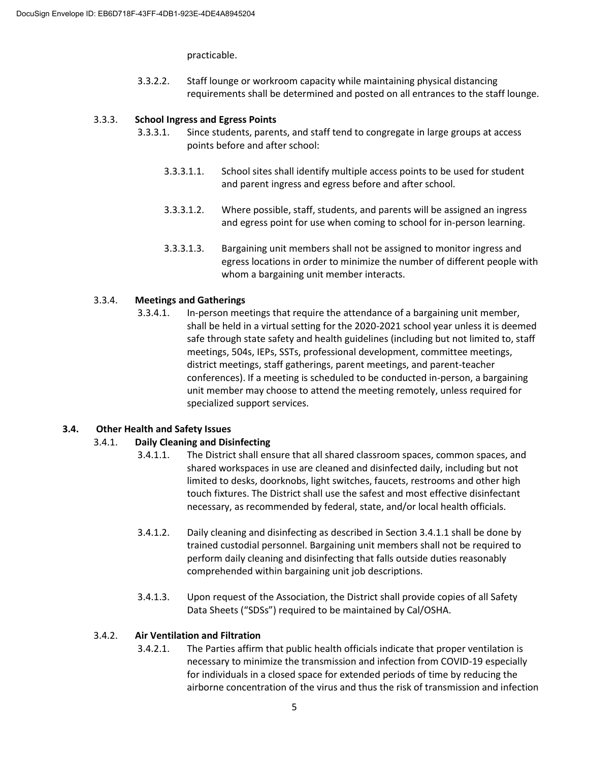practicable.

3.3.2.2. Staff lounge or workroom capacity while maintaining physical distancing requirements shall be determined and posted on all entrances to the staff lounge.

### 3.3.3. **School Ingress and Egress Points**

- 3.3.3.1. Since students, parents, and staff tend to congregate in large groups at access points before and after school:
	- 3.3.3.1.1. School sites shall identify multiple access points to be used for student and parent ingress and egress before and after school.
	- 3.3.3.1.2. Where possible, staff, students, and parents will be assigned an ingress and egress point for use when coming to school for in-person learning.
	- 3.3.3.1.3. Bargaining unit members shall not be assigned to monitor ingress and egress locations in order to minimize the number of different people with whom a bargaining unit member interacts.

### 3.3.4. **Meetings and Gatherings**

3.3.4.1. In-person meetings that require the attendance of a bargaining unit member, shall be held in a virtual setting for the 2020-2021 school year unless it is deemed safe through state safety and health guidelines (including but not limited to, staff meetings, 504s, IEPs, SSTs, professional development, committee meetings, district meetings, staff gatherings, parent meetings, and parent-teacher conferences). If a meeting is scheduled to be conducted in-person, a bargaining unit member may choose to attend the meeting remotely, unless required for specialized support services.

### **3.4. Other Health and Safety Issues**

### 3.4.1. **Daily Cleaning and Disinfecting**

- 3.4.1.1. The District shall ensure that all shared classroom spaces, common spaces, and shared workspaces in use are cleaned and disinfected daily, including but not limited to desks, doorknobs, light switches, faucets, restrooms and other high touch fixtures. The District shall use the safest and most effective disinfectant necessary, as recommended by federal, state, and/or local health officials.
- 3.4.1.2. Daily cleaning and disinfecting as described in Section 3.4.1.1 shall be done by trained custodial personnel. Bargaining unit members shall not be required to perform daily cleaning and disinfecting that falls outside duties reasonably comprehended within bargaining unit job descriptions.
- 3.4.1.3. Upon request of the Association, the District shall provide copies of all Safety Data Sheets ("SDSs") required to be maintained by Cal/OSHA.

### 3.4.2. **Air Ventilation and Filtration**

3.4.2.1. The Parties affirm that public health officials indicate that proper ventilation is necessary to minimize the transmission and infection from COVID-19 especially for individuals in a closed space for extended periods of time by reducing the airborne concentration of the virus and thus the risk of transmission and infection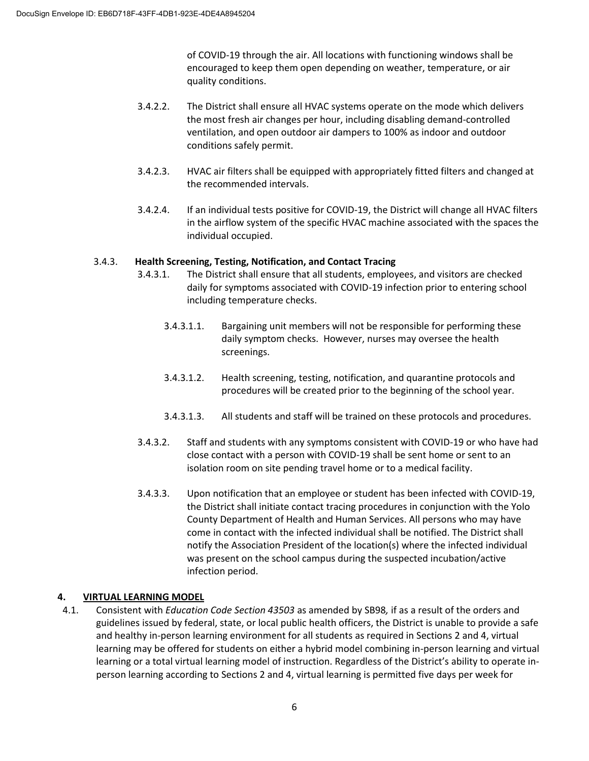of COVID-19 through the air. All locations with functioning windows shall be encouraged to keep them open depending on weather, temperature, or air quality conditions.

- 3.4.2.2. The District shall ensure all HVAC systems operate on the mode which delivers the most fresh air changes per hour, including disabling demand-controlled ventilation, and open outdoor air dampers to 100% as indoor and outdoor conditions safely permit.
- 3.4.2.3. HVAC air filters shall be equipped with appropriately fitted filters and changed at the recommended intervals.
- 3.4.2.4. If an individual tests positive for COVID-19, the District will change all HVAC filters in the airflow system of the specific HVAC machine associated with the spaces the individual occupied.

### 3.4.3. **Health Screening, Testing, Notification, and Contact Tracing**

- 3.4.3.1. The District shall ensure that all students, employees, and visitors are checked daily for symptoms associated with COVID-19 infection prior to entering school including temperature checks.
	- 3.4.3.1.1. Bargaining unit members will not be responsible for performing these daily symptom checks. However, nurses may oversee the health screenings.
	- 3.4.3.1.2. Health screening, testing, notification, and quarantine protocols and procedures will be created prior to the beginning of the school year.
	- 3.4.3.1.3. All students and staff will be trained on these protocols and procedures.
- 3.4.3.2. Staff and students with any symptoms consistent with COVID-19 or who have had close contact with a person with COVID-19 shall be sent home or sent to an isolation room on site pending travel home or to a medical facility.
- 3.4.3.3. Upon notification that an employee or student has been infected with COVID-19, the District shall initiate contact tracing procedures in conjunction with the Yolo County Department of Health and Human Services. All persons who may have come in contact with the infected individual shall be notified. The District shall notify the Association President of the location(s) where the infected individual was present on the school campus during the suspected incubation/active infection period.

## **4. VIRTUAL LEARNING MODEL**

4.1. Consistent with *Education Code Section 43503* as amended by SB98*,* if as a result of the orders and guidelines issued by federal, state, or local public health officers, the District is unable to provide a safe and healthy in-person learning environment for all students as required in Sections 2 and 4, virtual learning may be offered for students on either a hybrid model combining in-person learning and virtual learning or a total virtual learning model of instruction. Regardless of the District's ability to operate inperson learning according to Sections 2 and 4, virtual learning is permitted five days per week for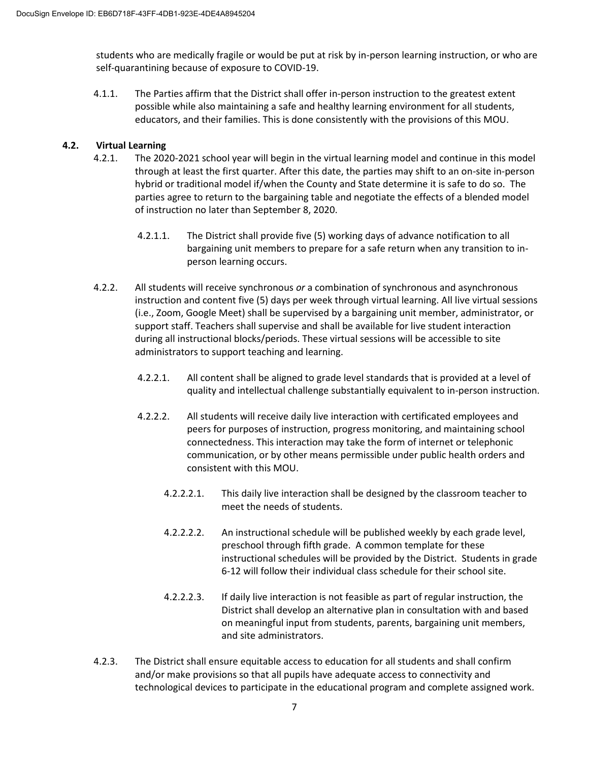students who are medically fragile or would be put at risk by in-person learning instruction, or who are self-quarantining because of exposure to COVID-19.

4.1.1. The Parties affirm that the District shall offer in-person instruction to the greatest extent possible while also maintaining a safe and healthy learning environment for all students, educators, and their families. This is done consistently with the provisions of this MOU.

### **4.2. Virtual Learning**

- 4.2.1. The 2020-2021 school year will begin in the virtual learning model and continue in this model through at least the first quarter. After this date, the parties may shift to an on-site in-person hybrid or traditional model if/when the County and State determine it is safe to do so. The parties agree to return to the bargaining table and negotiate the effects of a blended model of instruction no later than September 8, 2020.
	- 4.2.1.1. The District shall provide five (5) working days of advance notification to all bargaining unit members to prepare for a safe return when any transition to inperson learning occurs.
- 4.2.2. All students will receive synchronous *or* a combination of synchronous and asynchronous instruction and content five (5) days per week through virtual learning. All live virtual sessions (i.e., Zoom, Google Meet) shall be supervised by a bargaining unit member, administrator, or support staff. Teachers shall supervise and shall be available for live student interaction during all instructional blocks/periods. These virtual sessions will be accessible to site administrators to support teaching and learning.
	- 4.2.2.1. All content shall be aligned to grade level standards that is provided at a level of quality and intellectual challenge substantially equivalent to in-person instruction.
	- 4.2.2.2. All students will receive daily live interaction with certificated employees and peers for purposes of instruction, progress monitoring, and maintaining school connectedness. This interaction may take the form of internet or telephonic communication, or by other means permissible under public health orders and consistent with this MOU.
		- 4.2.2.2.1. This daily live interaction shall be designed by the classroom teacher to meet the needs of students.
		- 4.2.2.2.2. An instructional schedule will be published weekly by each grade level, preschool through fifth grade. A common template for these instructional schedules will be provided by the District. Students in grade 6-12 will follow their individual class schedule for their school site.
		- 4.2.2.2.3. If daily live interaction is not feasible as part of regular instruction, the District shall develop an alternative plan in consultation with and based on meaningful input from students, parents, bargaining unit members, and site administrators.
- 4.2.3. The District shall ensure equitable access to education for all students and shall confirm and/or make provisions so that all pupils have adequate access to connectivity and technological devices to participate in the educational program and complete assigned work.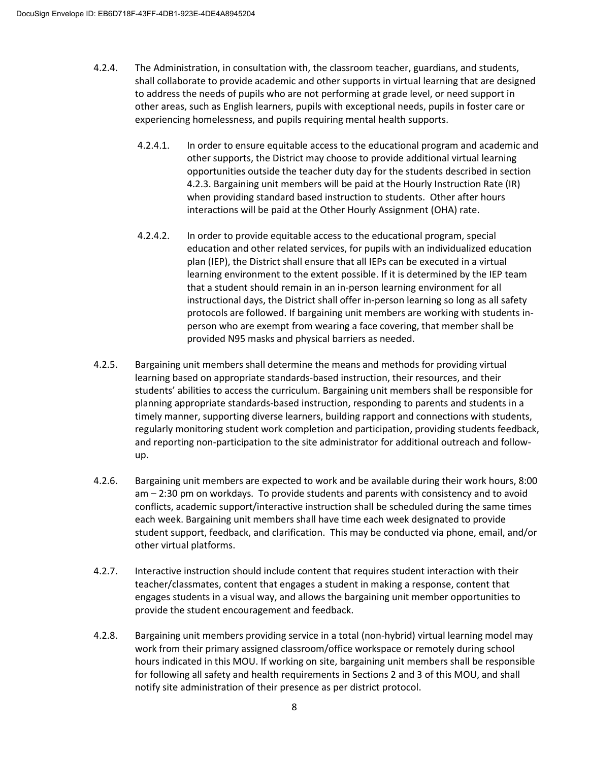- 4.2.4. The Administration, in consultation with, the classroom teacher, guardians, and students, shall collaborate to provide academic and other supports in virtual learning that are designed to address the needs of pupils who are not performing at grade level, or need support in other areas, such as English learners, pupils with exceptional needs, pupils in foster care or experiencing homelessness, and pupils requiring mental health supports.
	- 4.2.4.1. In order to ensure equitable access to the educational program and academic and other supports, the District may choose to provide additional virtual learning opportunities outside the teacher duty day for the students described in section 4.2.3. Bargaining unit members will be paid at the Hourly Instruction Rate (IR) when providing standard based instruction to students. Other after hours interactions will be paid at the Other Hourly Assignment (OHA) rate.
	- 4.2.4.2. In order to provide equitable access to the educational program, special education and other related services, for pupils with an individualized education plan (IEP), the District shall ensure that all IEPs can be executed in a virtual learning environment to the extent possible. If it is determined by the IEP team that a student should remain in an in-person learning environment for all instructional days, the District shall offer in-person learning so long as all safety protocols are followed. If bargaining unit members are working with students inperson who are exempt from wearing a face covering, that member shall be provided N95 masks and physical barriers as needed.
- 4.2.5. Bargaining unit members shall determine the means and methods for providing virtual learning based on appropriate standards-based instruction, their resources, and their students' abilities to access the curriculum. Bargaining unit members shall be responsible for planning appropriate standards-based instruction, responding to parents and students in a timely manner, supporting diverse learners, building rapport and connections with students, regularly monitoring student work completion and participation, providing students feedback, and reporting non-participation to the site administrator for additional outreach and followup.
- 4.2.6. Bargaining unit members are expected to work and be available during their work hours, 8:00 am – 2:30 pm on workdays. To provide students and parents with consistency and to avoid conflicts, academic support/interactive instruction shall be scheduled during the same times each week. Bargaining unit members shall have time each week designated to provide student support, feedback, and clarification. This may be conducted via phone, email, and/or other virtual platforms.
- 4.2.7. Interactive instruction should include content that requires student interaction with their teacher/classmates, content that engages a student in making a response, content that engages students in a visual way, and allows the bargaining unit member opportunities to provide the student encouragement and feedback.
- 4.2.8. Bargaining unit members providing service in a total (non-hybrid) virtual learning model may work from their primary assigned classroom/office workspace or remotely during school hours indicated in this MOU. If working on site, bargaining unit members shall be responsible for following all safety and health requirements in Sections 2 and 3 of this MOU, and shall notify site administration of their presence as per district protocol.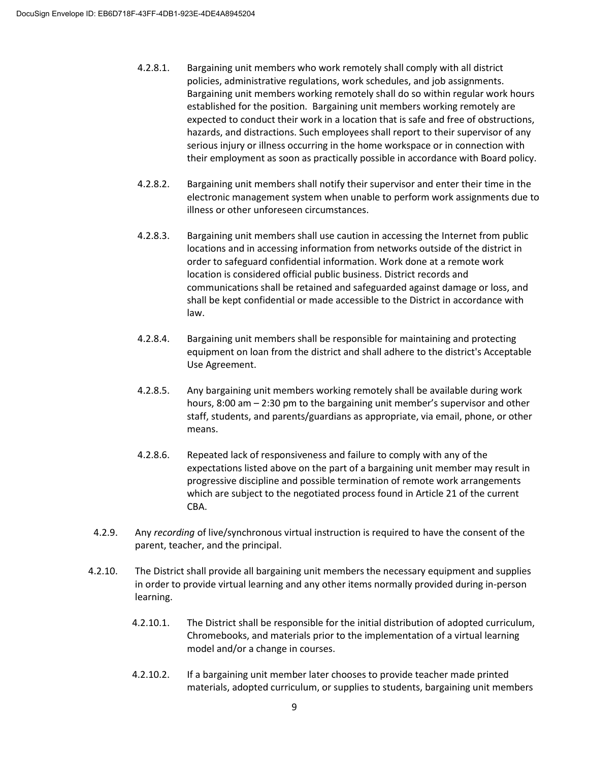- 4.2.8.1. Bargaining unit members who work remotely shall comply with all district policies, administrative regulations, work schedules, and job assignments. Bargaining unit members working remotely shall do so within regular work hours established for the position. Bargaining unit members working remotely are expected to conduct their work in a location that is safe and free of obstructions, hazards, and distractions. Such employees shall report to their supervisor of any serious injury or illness occurring in the home workspace or in connection with their employment as soon as practically possible in accordance with Board policy.
- 4.2.8.2. Bargaining unit members shall notify their supervisor and enter their time in the electronic management system when unable to perform work assignments due to illness or other unforeseen circumstances.
- 4.2.8.3. Bargaining unit members shall use caution in accessing the Internet from public locations and in accessing information from networks outside of the district in order to safeguard confidential information. Work done at a remote work location is considered official public business. District records and communications shall be retained and safeguarded against damage or loss, and shall be kept confidential or made accessible to the District in accordance with law.
- 4.2.8.4. Bargaining unit members shall be responsible for maintaining and protecting equipment on loan from the district and shall adhere to the district's Acceptable Use Agreement.
- 4.2.8.5. Any bargaining unit members working remotely shall be available during work hours, 8:00 am – 2:30 pm to the bargaining unit member's supervisor and other staff, students, and parents/guardians as appropriate, via email, phone, or other means.
- 4.2.8.6. Repeated lack of responsiveness and failure to comply with any of the expectations listed above on the part of a bargaining unit member may result in progressive discipline and possible termination of remote work arrangements which are subject to the negotiated process found in Article 21 of the current CBA.
- 4.2.9. Any *recording* of live/synchronous virtual instruction is required to have the consent of the parent, teacher, and the principal.
- 4.2.10. The District shall provide all bargaining unit members the necessary equipment and supplies in order to provide virtual learning and any other items normally provided during in-person learning.
	- 4.2.10.1. The District shall be responsible for the initial distribution of adopted curriculum, Chromebooks, and materials prior to the implementation of a virtual learning model and/or a change in courses.
	- 4.2.10.2. If a bargaining unit member later chooses to provide teacher made printed materials, adopted curriculum, or supplies to students, bargaining unit members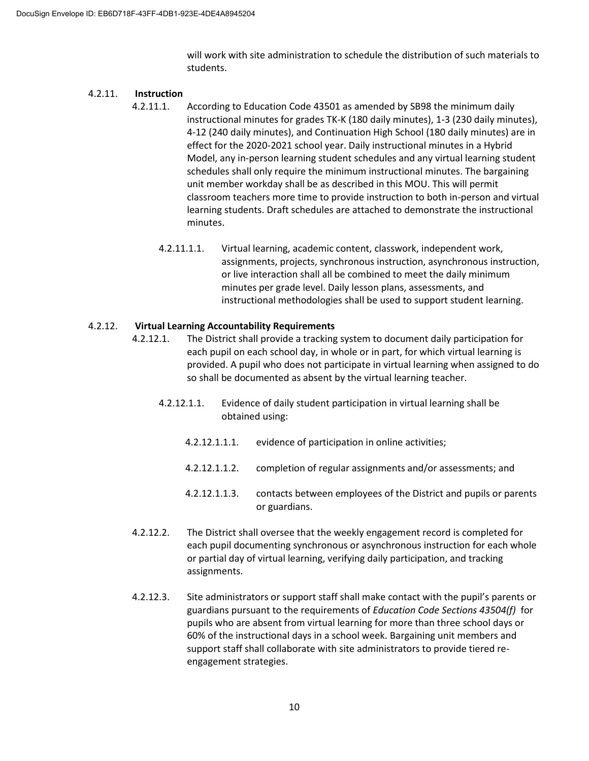will work with site administration to schedule the distribution of such materials to students.

#### 4.2.11. **Instruction**

- 4.2.11.1. According to Education Code 43501 as amended by SB98 the minimum daily instructional minutes for grades TK-K (180 daily minutes), 1-3 (230 daily minutes), 4-12 (240 daily minutes), and Continuation High School (180 daily minutes) are in effect for the 2020-2021 school year. Daily instructional minutes in a Hybrid Model, any in-person learning student schedules and any virtual learning student schedules shall only require the minimum instructional minutes. The bargaining unit member workday shall be as described in this MOU. This will permit classroom teachers more time to provide instruction to both in-person and virtual learning students. Draft schedules are attached to demonstrate the instructional minutes.
	- 4.2.11.1.1. Virtual learning, academic content, classwork, independent work, assignments, projects, synchronous instruction, asynchronous instruction, or live interaction shall all be combined to meet the daily minimum minutes per grade level. Daily lesson plans, assessments, and instructional methodologies shall be used to support student learning.

### 4.2.12. **Virtual Learning Accountability Requirements**

- 4.2.12.1. The District shall provide a tracking system to document daily participation for each pupil on each school day, in whole or in part, for which virtual learning is provided. A pupil who does not participate in virtual learning when assigned to do so shall be documented as absent by the virtual learning teacher.
	- 4.2.12.1.1. Evidence of daily student participation in virtual learning shall be obtained using:
		- 4.2.12.1.1.1. evidence of participation in online activities;
		- 4.2.12.1.1.2. completion of regular assignments and/or assessments; and
		- 4.2.12.1.1.3. contacts between employees of the District and pupils or parents or guardians.
- 4.2.12.2. The District shall oversee that the weekly engagement record is completed for each pupil documenting synchronous or asynchronous instruction for each whole or partial day of virtual learning, verifying daily participation, and tracking assignments.
- 4.2.12.3. Site administrators or support staff shall make contact with the pupil's parents or guardians pursuant to the requirements of *Education Code Sections 43504(f)* for pupils who are absent from virtual learning for more than three school days or 60% of the instructional days in a school week. Bargaining unit members and support staff shall collaborate with site administrators to provide tiered reengagement strategies.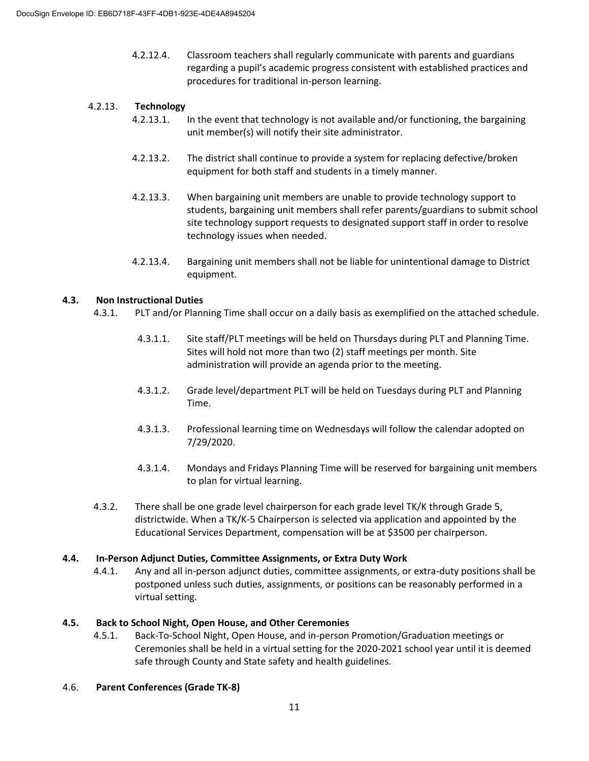4.2.12.4. Classroom teachers shall regularly communicate with parents and guardians regarding a pupil's academic progress consistent with established practices and procedures for traditional in-person learning.

## 4.2.13. **Technology**

- 4.2.13.1. In the event that technology is not available and/or functioning, the bargaining unit member(s) will notify their site administrator.
- 4.2.13.2. The district shall continue to provide a system for replacing defective/broken equipment for both staff and students in a timely manner.
- 4.2.13.3. When bargaining unit members are unable to provide technology support to students, bargaining unit members shall refer parents/guardians to submit school site technology support requests to designated support staff in order to resolve technology issues when needed.
- 4.2.13.4. Bargaining unit members shall not be liable for unintentional damage to District equipment.

### **4.3. Non Instructional Duties**

- 4.3.1. PLT and/or Planning Time shall occur on a daily basis as exemplified on the attached schedule.
	- 4.3.1.1. Site staff/PLT meetings will be held on Thursdays during PLT and Planning Time. Sites will hold not more than two (2) staff meetings per month. Site administration will provide an agenda prior to the meeting.
	- 4.3.1.2. Grade level/department PLT will be held on Tuesdays during PLT and Planning Time.
	- 4.3.1.3. Professional learning time on Wednesdays will follow the calendar adopted on 7/29/2020.
	- 4.3.1.4. Mondays and Fridays Planning Time will be reserved for bargaining unit members to plan for virtual learning.
- 4.3.2. There shall be one grade level chairperson for each grade level TK/K through Grade 5, districtwide. When a TK/K-5 Chairperson is selected via application and appointed by the Educational Services Department, compensation will be at \$3500 per chairperson.

### **4.4. In-Person Adjunct Duties, Committee Assignments, or Extra Duty Work**

4.4.1. Any and all in-person adjunct duties, committee assignments, or extra-duty positions shall be postponed unless such duties, assignments, or positions can be reasonably performed in a virtual setting.

### **4.5. Back to School Night, Open House, and Other Ceremonies**

4.5.1. Back-To-School Night, Open House, and in-person Promotion/Graduation meetings or Ceremonies shall be held in a virtual setting for the 2020-2021 school year until it is deemed safe through County and State safety and health guidelines.

### 4.6. **Parent Conferences (Grade TK-8)**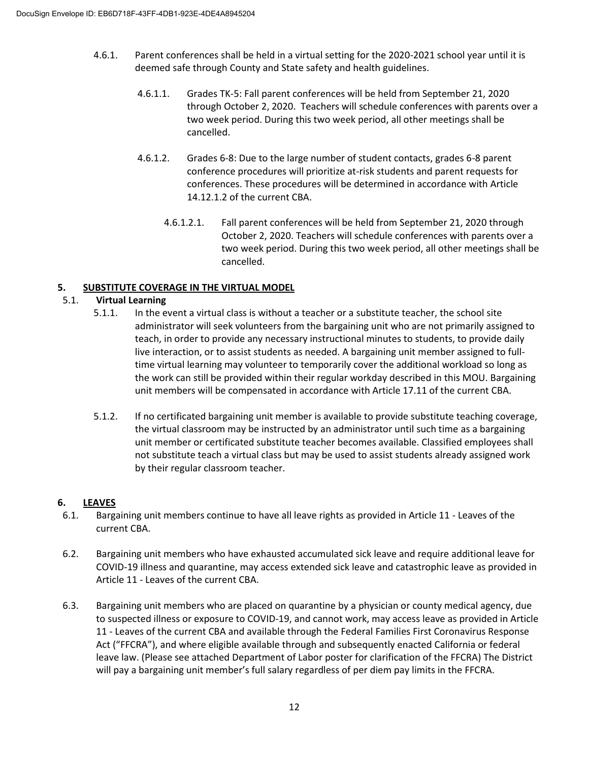- 4.6.1. Parent conferences shall be held in a virtual setting for the 2020-2021 school year until it is deemed safe through County and State safety and health guidelines.
	- 4.6.1.1. Grades TK-5: Fall parent conferences will be held from September 21, 2020 through October 2, 2020. Teachers will schedule conferences with parents over a two week period. During this two week period, all other meetings shall be cancelled.
	- 4.6.1.2. Grades 6-8: Due to the large number of student contacts, grades 6-8 parent conference procedures will prioritize at-risk students and parent requests for conferences. These procedures will be determined in accordance with Article 14.12.1.2 of the current CBA.
		- 4.6.1.2.1. Fall parent conferences will be held from September 21, 2020 through October 2, 2020. Teachers will schedule conferences with parents over a two week period. During this two week period, all other meetings shall be cancelled.

### **5. SUBSTITUTE COVERAGE IN THE VIRTUAL MODEL**

### 5.1. **Virtual Learning**

- 5.1.1. In the event a virtual class is without a teacher or a substitute teacher, the school site administrator will seek volunteers from the bargaining unit who are not primarily assigned to teach, in order to provide any necessary instructional minutes to students, to provide daily live interaction, or to assist students as needed. A bargaining unit member assigned to fulltime virtual learning may volunteer to temporarily cover the additional workload so long as the work can still be provided within their regular workday described in this MOU. Bargaining unit members will be compensated in accordance with Article 17.11 of the current CBA.
- 5.1.2. If no certificated bargaining unit member is available to provide substitute teaching coverage, the virtual classroom may be instructed by an administrator until such time as a bargaining unit member or certificated substitute teacher becomes available. Classified employees shall not substitute teach a virtual class but may be used to assist students already assigned work by their regular classroom teacher.

### **6. LEAVES**

- 6.1. Bargaining unit members continue to have all leave rights as provided in Article 11 Leaves of the current CBA.
- 6.2. Bargaining unit members who have exhausted accumulated sick leave and require additional leave for COVID-19 illness and quarantine, may access extended sick leave and catastrophic leave as provided in Article 11 - Leaves of the current CBA.
- 6.3. Bargaining unit members who are placed on quarantine by a physician or county medical agency, due to suspected illness or exposure to COVID-19, and cannot work, may access leave as provided in Article 11 - Leaves of the current CBA and available through the Federal Families First Coronavirus Response Act ("FFCRA"), and where eligible available through and subsequently enacted California or federal leave law. (Please see attached Department of Labor poster for clarification of the FFCRA) The District will pay a bargaining unit member's full salary regardless of per diem pay limits in the FFCRA.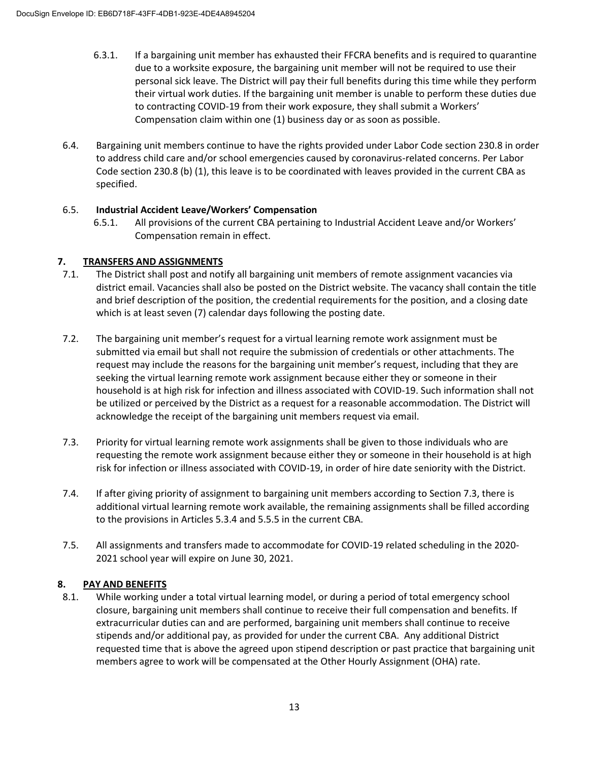- 6.3.1. If a bargaining unit member has exhausted their FFCRA benefits and is required to quarantine due to a worksite exposure, the bargaining unit member will not be required to use their personal sick leave. The District will pay their full benefits during this time while they perform their virtual work duties. If the bargaining unit member is unable to perform these duties due to contracting COVID-19 from their work exposure, they shall submit a Workers' Compensation claim within one (1) business day or as soon as possible.
- 6.4. Bargaining unit members continue to have the rights provided under Labor Code section 230.8 in order to address child care and/or school emergencies caused by coronavirus-related concerns. Per Labor Code section 230.8 (b) (1), this leave is to be coordinated with leaves provided in the current CBA as specified.

## 6.5. **Industrial Accident Leave/Workers' Compensation**

6.5.1. All provisions of the current CBA pertaining to Industrial Accident Leave and/or Workers' Compensation remain in effect.

## **7. TRANSFERS AND ASSIGNMENTS**

- 7.1. The District shall post and notify all bargaining unit members of remote assignment vacancies via district email. Vacancies shall also be posted on the District website. The vacancy shall contain the title and brief description of the position, the credential requirements for the position, and a closing date which is at least seven (7) calendar days following the posting date.
- 7.2. The bargaining unit member's request for a virtual learning remote work assignment must be submitted via email but shall not require the submission of credentials or other attachments. The request may include the reasons for the bargaining unit member's request, including that they are seeking the virtual learning remote work assignment because either they or someone in their household is at high risk for infection and illness associated with COVID-19. Such information shall not be utilized or perceived by the District as a request for a reasonable accommodation. The District will acknowledge the receipt of the bargaining unit members request via email.
- 7.3. Priority for virtual learning remote work assignments shall be given to those individuals who are requesting the remote work assignment because either they or someone in their household is at high risk for infection or illness associated with COVID-19, in order of hire date seniority with the District.
- 7.4. If after giving priority of assignment to bargaining unit members according to Section 7.3, there is additional virtual learning remote work available, the remaining assignments shall be filled according to the provisions in Articles 5.3.4 and 5.5.5 in the current CBA.
- 7.5. All assignments and transfers made to accommodate for COVID-19 related scheduling in the 2020- 2021 school year will expire on June 30, 2021.

## **8. PAY AND BENEFITS**

8.1. While working under a total virtual learning model, or during a period of total emergency school closure, bargaining unit members shall continue to receive their full compensation and benefits. If extracurricular duties can and are performed, bargaining unit members shall continue to receive stipends and/or additional pay, as provided for under the current CBA. Any additional District requested time that is above the agreed upon stipend description or past practice that bargaining unit members agree to work will be compensated at the Other Hourly Assignment (OHA) rate.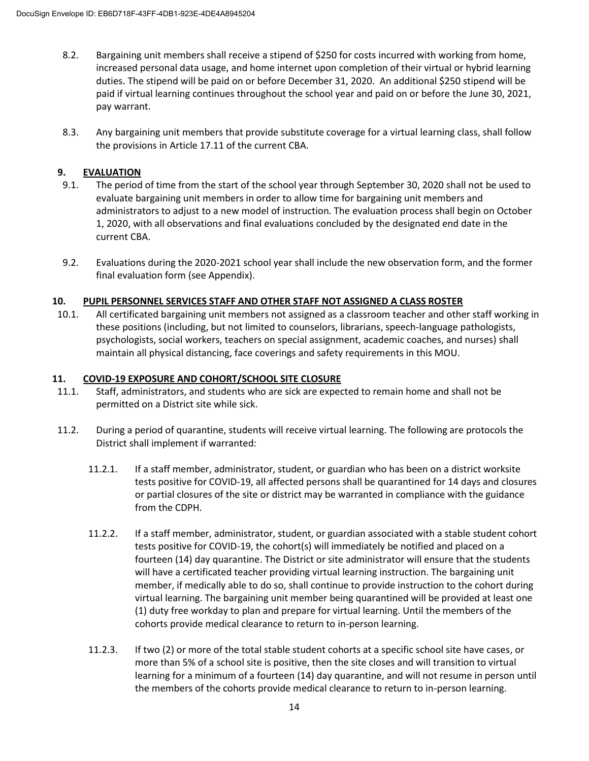- 8.2. Bargaining unit members shall receive a stipend of \$250 for costs incurred with working from home, increased personal data usage, and home internet upon completion of their virtual or hybrid learning duties. The stipend will be paid on or before December 31, 2020. An additional \$250 stipend will be paid if virtual learning continues throughout the school year and paid on or before the June 30, 2021, pay warrant.
- 8.3. Any bargaining unit members that provide substitute coverage for a virtual learning class, shall follow the provisions in Article 17.11 of the current CBA.

# **9. EVALUATION**

- 9.1. The period of time from the start of the school year through September 30, 2020 shall not be used to evaluate bargaining unit members in order to allow time for bargaining unit members and administrators to adjust to a new model of instruction. The evaluation process shall begin on October 1, 2020, with all observations and final evaluations concluded by the designated end date in the current CBA.
- 9.2. Evaluations during the 2020-2021 school year shall include the new observation form, and the former final evaluation form (see Appendix).

## **10. PUPIL PERSONNEL SERVICES STAFF AND OTHER STAFF NOT ASSIGNED A CLASS ROSTER**

10.1. All certificated bargaining unit members not assigned as a classroom teacher and other staff working in these positions (including, but not limited to counselors, librarians, speech-language pathologists, psychologists, social workers, teachers on special assignment, academic coaches, and nurses) shall maintain all physical distancing, face coverings and safety requirements in this MOU.

## **11. COVID-19 EXPOSURE AND COHORT/SCHOOL SITE CLOSURE**

- 11.1. Staff, administrators, and students who are sick are expected to remain home and shall not be permitted on a District site while sick.
- 11.2. During a period of quarantine, students will receive virtual learning. The following are protocols the District shall implement if warranted:
	- 11.2.1. If a staff member, administrator, student, or guardian who has been on a district worksite tests positive for COVID-19, all affected persons shall be quarantined for 14 days and closures or partial closures of the site or district may be warranted in compliance with the guidance from the CDPH.
	- 11.2.2. If a staff member, administrator, student, or guardian associated with a stable student cohort tests positive for COVID-19, the cohort(s) will immediately be notified and placed on a fourteen (14) day quarantine. The District or site administrator will ensure that the students will have a certificated teacher providing virtual learning instruction. The bargaining unit member, if medically able to do so, shall continue to provide instruction to the cohort during virtual learning. The bargaining unit member being quarantined will be provided at least one (1) duty free workday to plan and prepare for virtual learning. Until the members of the cohorts provide medical clearance to return to in-person learning.
	- 11.2.3. If two (2) or more of the total stable student cohorts at a specific school site have cases, or more than 5% of a school site is positive, then the site closes and will transition to virtual learning for a minimum of a fourteen (14) day quarantine, and will not resume in person until the members of the cohorts provide medical clearance to return to in-person learning.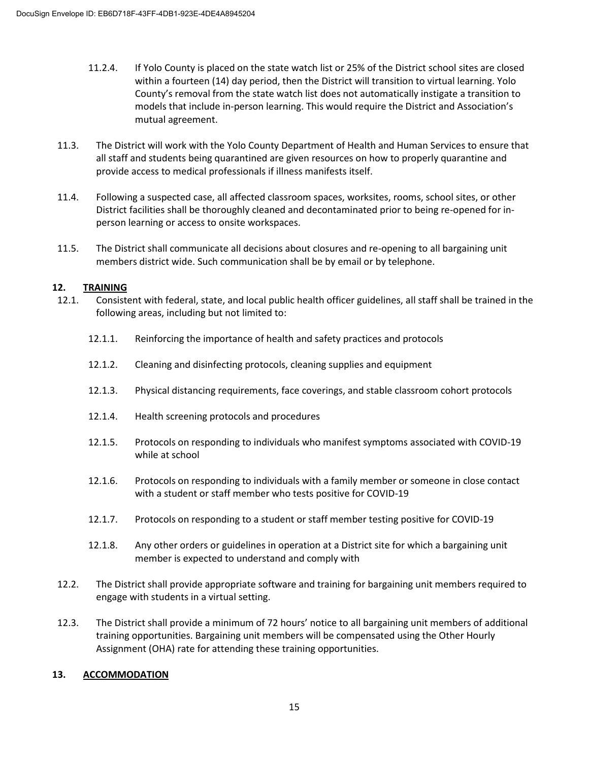- 11.2.4. If Yolo County is placed on the state watch list or 25% of the District school sites are closed within a fourteen (14) day period, then the District will transition to virtual learning. Yolo County's removal from the state watch list does not automatically instigate a transition to models that include in-person learning. This would require the District and Association's mutual agreement.
- 11.3. The District will work with the Yolo County Department of Health and Human Services to ensure that all staff and students being quarantined are given resources on how to properly quarantine and provide access to medical professionals if illness manifests itself.
- 11.4. Following a suspected case, all affected classroom spaces, worksites, rooms, school sites, or other District facilities shall be thoroughly cleaned and decontaminated prior to being re-opened for inperson learning or access to onsite workspaces.
- 11.5. The District shall communicate all decisions about closures and re-opening to all bargaining unit members district wide. Such communication shall be by email or by telephone.

### **12. TRAINING**

- 12.1. Consistent with federal, state, and local public health officer guidelines, all staff shall be trained in the following areas, including but not limited to:
	- 12.1.1. Reinforcing the importance of health and safety practices and protocols
	- 12.1.2. Cleaning and disinfecting protocols, cleaning supplies and equipment
	- 12.1.3. Physical distancing requirements, face coverings, and stable classroom cohort protocols
	- 12.1.4. Health screening protocols and procedures
	- 12.1.5. Protocols on responding to individuals who manifest symptoms associated with COVID-19 while at school
	- 12.1.6. Protocols on responding to individuals with a family member or someone in close contact with a student or staff member who tests positive for COVID-19
	- 12.1.7. Protocols on responding to a student or staff member testing positive for COVID-19
	- 12.1.8. Any other orders or guidelines in operation at a District site for which a bargaining unit member is expected to understand and comply with
- 12.2. The District shall provide appropriate software and training for bargaining unit members required to engage with students in a virtual setting.
- 12.3. The District shall provide a minimum of 72 hours' notice to all bargaining unit members of additional training opportunities. Bargaining unit members will be compensated using the Other Hourly Assignment (OHA) rate for attending these training opportunities.

### **13. ACCOMMODATION**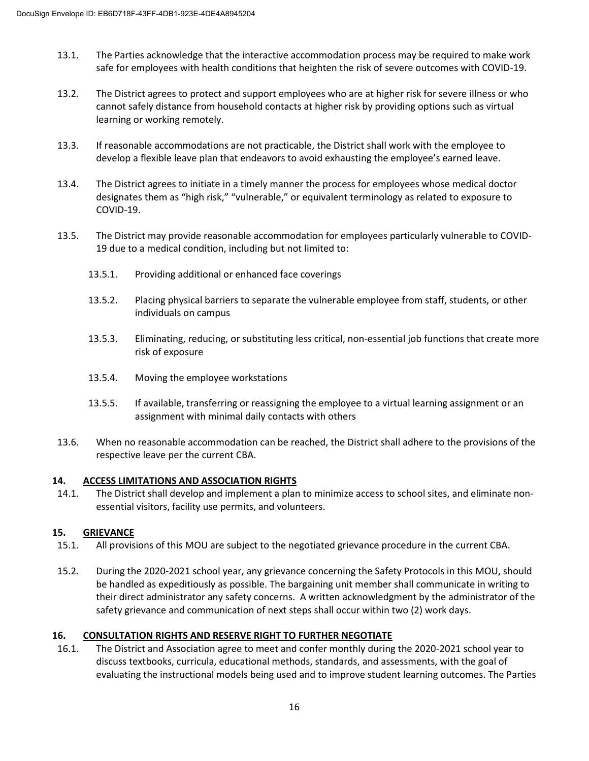- 13.1. The Parties acknowledge that the interactive accommodation process may be required to make work safe for employees with health conditions that heighten the risk of severe outcomes with COVID-19.
- 13.2. The District agrees to protect and support employees who are at higher risk for severe illness or who cannot safely distance from household contacts at higher risk by providing options such as virtual learning or working remotely.
- 13.3. If reasonable accommodations are not practicable, the District shall work with the employee to develop a flexible leave plan that endeavors to avoid exhausting the employee's earned leave.
- 13.4. The District agrees to initiate in a timely manner the process for employees whose medical doctor designates them as "high risk," "vulnerable," or equivalent terminology as related to exposure to COVID-19.
- 13.5. The District may provide reasonable accommodation for employees particularly vulnerable to COVID-19 due to a medical condition, including but not limited to:
	- 13.5.1. Providing additional or enhanced face coverings
	- 13.5.2. Placing physical barriers to separate the vulnerable employee from staff, students, or other individuals on campus
	- 13.5.3. Eliminating, reducing, or substituting less critical, non-essential job functions that create more risk of exposure
	- 13.5.4. Moving the employee workstations
	- 13.5.5. If available, transferring or reassigning the employee to a virtual learning assignment or an assignment with minimal daily contacts with others
- 13.6. When no reasonable accommodation can be reached, the District shall adhere to the provisions of the respective leave per the current CBA.

### **14. ACCESS LIMITATIONS AND ASSOCIATION RIGHTS**

14.1. The District shall develop and implement a plan to minimize access to school sites, and eliminate nonessential visitors, facility use permits, and volunteers.

### **15. GRIEVANCE**

- 15.1. All provisions of this MOU are subject to the negotiated grievance procedure in the current CBA.
- 15.2. During the 2020-2021 school year, any grievance concerning the Safety Protocols in this MOU, should be handled as expeditiously as possible. The bargaining unit member shall communicate in writing to their direct administrator any safety concerns. A written acknowledgment by the administrator of the safety grievance and communication of next steps shall occur within two (2) work days.

### **16. CONSULTATION RIGHTS AND RESERVE RIGHT TO FURTHER NEGOTIATE**

16.1. The District and Association agree to meet and confer monthly during the 2020-2021 school year to discuss textbooks, curricula, educational methods, standards, and assessments, with the goal of evaluating the instructional models being used and to improve student learning outcomes. The Parties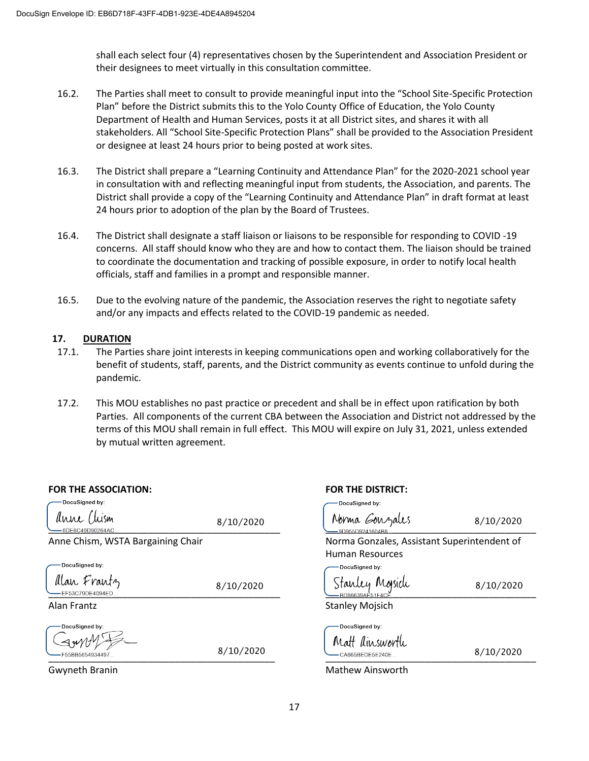shall each select four (4) representatives chosen by the Superintendent and Association President or their designees to meet virtually in this consultation committee.

- 16.2. The Parties shall meet to consult to provide meaningful input into the "School Site-Specific Protection Plan" before the District submits this to the Yolo County Office of Education, the Yolo County Department of Health and Human Services, posts it at all District sites, and shares it with all stakeholders. All "School Site-Specific Protection Plans" shall be provided to the Association President or designee at least 24 hours prior to being posted at work sites.
- 16.3. The District shall prepare a "Learning Continuity and Attendance Plan" for the 2020-2021 school year in consultation with and reflecting meaningful input from students, the Association, and parents. The District shall provide a copy of the "Learning Continuity and Attendance Plan" in draft format at least 24 hours prior to adoption of the plan by the Board of Trustees.
- 16.4. The District shall designate a staff liaison or liaisons to be responsible for responding to COVID -19 concerns. All staff should know who they are and how to contact them. The liaison should be trained to coordinate the documentation and tracking of possible exposure, in order to notify local health officials, staff and families in a prompt and responsible manner.
- 16.5. Due to the evolving nature of the pandemic, the Association reserves the right to negotiate safety and/or any impacts and effects related to the COVID-19 pandemic as needed.

#### **17. DURATION**

- 17.1. The Parties share joint interests in keeping communications open and working collaboratively for the benefit of students, staff, parents, and the District community as events continue to unfold during the pandemic.
- 17.2. This MOU establishes no past practice or precedent and shall be in effect upon ratification by both Parties. All components of the current CBA between the Association and District not addressed by the terms of this MOU shall remain in full effect. This MOU will expire on July 31, 2021, unless extended by mutual written agreement.

| <b>FOR THE ASSOCIATION:</b>        |           | <b>FOR THE DISTRICT:</b>                            |           |
|------------------------------------|-----------|-----------------------------------------------------|-----------|
| DocuSigned by:                     |           | DocuSigned by:                                      |           |
| anne Chism<br>6DE6C49D90264AC.     | 8/10/2020 | Norma Gouzales<br>9D955D9241604B8                   | 8/10/2020 |
| Anne Chism, WSTA Bargaining Chair  |           | Norma Gonzales, Assistant Superintendent of         |           |
|                                    |           | Human Resources                                     |           |
| DocuSigned by:                     |           | DocuSigned by:                                      |           |
| Alan Frantz<br>EF53C79DE4094ED     | 8/10/2020 | Stanley Mojsich<br>BD86639AE51F4CE                  | 8/10/2020 |
| Alan Frantz                        |           | <b>Stanley Mojsich</b>                              |           |
| DocuSigned by:<br>F55BB5654934497. | 8/10/2020 | DocuSigned by:<br>Matt dinsworth<br>CA665BEDE5E240E | 8/10/2020 |

DocuSigned by: brma Gonzales 8/10/2020 rma Gonzales, Assistant Superintendent of man Resources -DocuSigned by: 8/10/2020Inley Moisich DocuSianed by: hatt dinsworth  $8/10/2020$ 

Gwyneth Branin Mathew Ainsworth